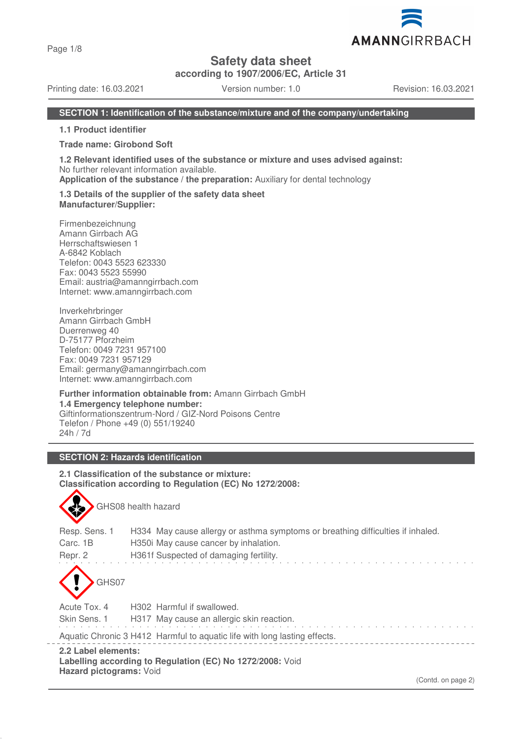Page 1/8

# **Safety data sheet**

**according to 1907/2006/EC, Article 31**

Printing date: 16.03.2021 Version number: 1.0 Revision: 16.03.2021

## **SECTION 1: Identification of the substance/mixture and of the company/undertaking**

**1.1 Product identifier**

#### **Trade name: Girobond Soft**

**1.2 Relevant identified uses of the substance or mixture and uses advised against:** No further relevant information available.

**Application of the substance / the preparation:** Auxiliary for dental technology

#### **1.3 Details of the supplier of the safety data sheet Manufacturer/Supplier:**

Firmenbezeichnung Amann Girrbach AG Herrschaftswiesen 1 A-6842 Koblach Telefon: 0043 5523 623330 Fax: 0043 5523 55990 Email: austria@amanngirrbach.com Internet: www.amanngirrbach.com

Inverkehrbringer Amann Girrbach GmbH Duerrenweg 40 D-75177 Pforzheim Telefon: 0049 7231 957100 Fax: 0049 7231 957129 Email: germany@amanngirrbach.com Internet: www.amanngirrbach.com

**Further information obtainable from:** Amann Girrbach GmbH **1.4 Emergency telephone number:** Giftinformationszentrum-Nord / GIZ-Nord Poisons Centre Telefon / Phone +49 (0) 551/19240 24h / 7d

## **SECTION 2: Hazards identification**

GHS08 health hazard

**2.1 Classification of the substance or mixture: Classification according to Regulation (EC) No 1272/2008:**

| 2.2 Label elements:<br>Labelling according to Regulation (EC) No 1272/2008: Void                                                                                                                           |  |  |  |  |
|------------------------------------------------------------------------------------------------------------------------------------------------------------------------------------------------------------|--|--|--|--|
| Aquatic Chronic 3 H412 Harmful to aquatic life with long lasting effects.                                                                                                                                  |  |  |  |  |
| Skin Sens. 1<br>H317 May cause an allergic skin reaction.                                                                                                                                                  |  |  |  |  |
| GHS07<br>Acute Tox. 4<br>H302 Harmful if swallowed.                                                                                                                                                        |  |  |  |  |
| Resp. Sens. 1<br>H334 May cause allergy or asthma symptoms or breathing difficulties if inhaled.<br>Carc. 1B<br>H350i May cause cancer by inhalation.<br>H361f Suspected of damaging fertility.<br>Repr. 2 |  |  |  |  |

(Contd. on page 2)

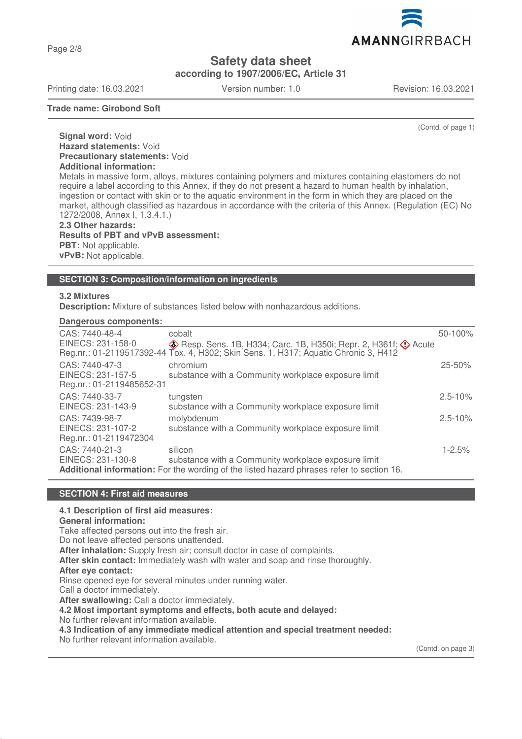Page 2/8

**Safety data sheet**

**according to 1907/2006/EC, Article 31**

Printing date: 16.03.2021 Version number: 1.0 Revision: 16.03.2021

AMANNGIRRBACH

**Trade name: Girobond Soft**

(Contd. of page 1)

**Signal word:** Void **Hazard statements:** Void **Precautionary statements:** Void **Additional information:** Metals in massive form, alloys, mixtures containing polymers and mixtures containing elastomers do not

require a label according to this Annex, if they do not present a hazard to human health by inhalation, ingestion or contact with skin or to the aquatic environment in the form in which they are placed on the market, although classified as hazardous in accordance with the criteria of this Annex. (Regulation (EC) No 1272/2008, Annex I, 1.3.4.1.)

**2.3 Other hazards: Results of PBT and vPvB assessment: PBT:** Not applicable. **vPvB:** Not applicable.

#### **SECTION 3: Composition/information on ingredients**

## **3.2 Mixtures**

**Description:** Mixture of substances listed below with nonhazardous additions.

### **Dangerous components:**

| CAS: 7440-48-4            | cobalt                                                                                     | 50-100%     |
|---------------------------|--------------------------------------------------------------------------------------------|-------------|
| EINECS: 231-158-0         | $\diamondsuit$ Resp. Sens. 1B, H334; Carc. 1B, H350i; Repr. 2, H361f; $\diamondsuit$ Acute |             |
|                           | Reg.nr.: 01-2119517392-44 Tox. 4, H302; Skin Sens. 1, H317; Aquatic Chronic 3, H412        |             |
| CAS: 7440-47-3            | chromium                                                                                   | $25 - 50%$  |
| EINECS: 231-157-5         | substance with a Community workplace exposure limit                                        |             |
| Reg.nr.: 01-2119485652-31 |                                                                                            |             |
| CAS: 7440-33-7            | tungsten                                                                                   | $2.5 - 10%$ |
| EINECS: 231-143-9         | substance with a Community workplace exposure limit                                        |             |
| CAS: 7439-98-7            | molybdenum                                                                                 | $2.5 - 10%$ |
| EINECS: 231-107-2         | substance with a Community workplace exposure limit                                        |             |
| Reg.nr.: 01-2119472304    |                                                                                            |             |
| CAS: 7440-21-3            | silicon                                                                                    | $1 - 2.5%$  |
| EINECS: 231-130-8         | substance with a Community workplace exposure limit                                        |             |
|                           | Additional information: For the wording of the listed hazard phrases refer to section 16.  |             |
|                           |                                                                                            |             |

#### **SECTION 4: First aid measures**

#### **4.1 Description of first aid measures:**

**General information:**

Take affected persons out into the fresh air.

Do not leave affected persons unattended.

**After inhalation:** Supply fresh air; consult doctor in case of complaints.

**After skin contact:** Immediately wash with water and soap and rinse thoroughly.

#### **After eye contact:**

Rinse opened eye for several minutes under running water.

Call a doctor immediately.

**After swallowing:** Call a doctor immediately.

**4.2 Most important symptoms and effects, both acute and delayed:**

No further relevant information available.

**4.3 Indication of any immediate medical attention and special treatment needed:**

No further relevant information available.

(Contd. on page 3)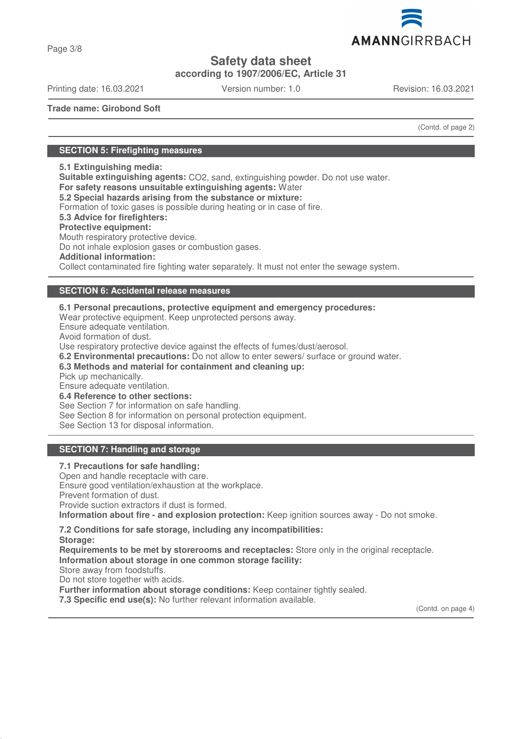

Page 3/8

# **Safety data sheet**

**according to 1907/2006/EC, Article 31**

Printing date: 16.03.2021 Version number: 1.0 Revision: 16.03.2021

**Trade name: Girobond Soft**

(Contd. of page 2)

## **SECTION 5: Firefighting measures**

**5.1 Extinguishing media:**

**Suitable extinguishing agents:** CO2, sand, extinguishing powder. Do not use water.

**For safety reasons unsuitable extinguishing agents:** Water

**5.2 Special hazards arising from the substance or mixture:**

Formation of toxic gases is possible during heating or in case of fire.

## **5.3 Advice for firefighters:**

**Protective equipment:**

Mouth respiratory protective device.

Do not inhale explosion gases or combustion gases.

**Additional information:**

Collect contaminated fire fighting water separately. It must not enter the sewage system.

## **SECTION 6: Accidental release measures**

**6.1 Personal precautions, protective equipment and emergency procedures:** Wear protective equipment. Keep unprotected persons away. Ensure adequate ventilation. Avoid formation of dust. Use respiratory protective device against the effects of fumes/dust/aerosol.

**6.2 Environmental precautions:** Do not allow to enter sewers/ surface or ground water.

**6.3 Methods and material for containment and cleaning up:**

Pick up mechanically.

Ensure adequate ventilation.

**6.4 Reference to other sections:**

See Section 7 for information on safe handling.

See Section 8 for information on personal protection equipment.

See Section 13 for disposal information.

## **SECTION 7: Handling and storage**

**7.1 Precautions for safe handling:** Open and handle receptacle with care. Ensure good ventilation/exhaustion at the workplace. Prevent formation of dust. Provide suction extractors if dust is formed. **Information about fire - and explosion protection:** Keep ignition sources away - Do not smoke.

#### **7.2 Conditions for safe storage, including any incompatibilities: Storage:**

**Requirements to be met by storerooms and receptacles:** Store only in the original receptacle. **Information about storage in one common storage facility:**

Store away from foodstuffs.

Do not store together with acids.

**Further information about storage conditions:** Keep container tightly sealed.

**7.3 Specific end use(s):** No further relevant information available.

(Contd. on page 4)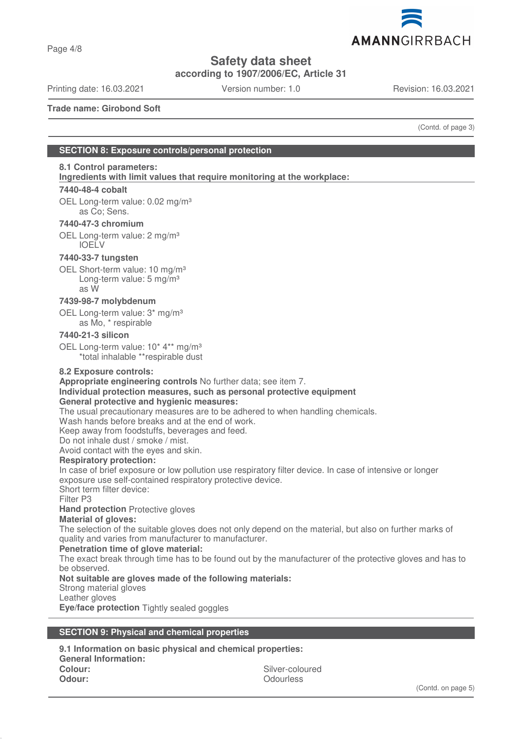

Page 4/8

**Safety data sheet**

**according to 1907/2006/EC, Article 31**

Printing date: 16.03.2021 Version number: 1.0 Revision: 16.03.2021

**Trade name: Girobond Soft**

(Contd. of page 3)

## **SECTION 8: Exposure controls/personal protection**

## **8.1 Control parameters:**

**Ingredients with limit values that require monitoring at the workplace:** 

#### **7440-48-4 cobalt**

OEL Long-term value: 0.02 mg/m<sup>3</sup> as Co; Sens.

## **7440-47-3 chromium**

OEL Long-term value: 2 mg/m<sup>3</sup> IOELV

#### **7440-33-7 tungsten**

OEL Short-term value: 10 mg/m<sup>3</sup> Long-term value: 5 mg/m<sup>3</sup> as W

## **7439-98-7 molybdenum**

OEL Long-term value: 3\* mg/m³ as Mo, \* respirable

## **7440-21-3 silicon**

OEL Long-term value: 10<sup>\*</sup> 4<sup>\*\*</sup> mg/m<sup>3</sup> \*total inhalable \*\*respirable dust

#### **8.2 Exposure controls:**

**Appropriate engineering controls** No further data; see item 7.

## **Individual protection measures, such as personal protective equipment**

## **General protective and hygienic measures:**

The usual precautionary measures are to be adhered to when handling chemicals.

Wash hands before breaks and at the end of work.

Keep away from foodstuffs, beverages and feed.

Do not inhale dust / smoke / mist.

Avoid contact with the eyes and skin.

#### **Respiratory protection:**

In case of brief exposure or low pollution use respiratory filter device. In case of intensive or longer exposure use self-contained respiratory protective device.

Short term filter device:

Filter P3

**Hand protection** Protective gloves

#### **Material of gloves:**

The selection of the suitable gloves does not only depend on the material, but also on further marks of quality and varies from manufacturer to manufacturer.

#### **Penetration time of glove material:**

The exact break through time has to be found out by the manufacturer of the protective gloves and has to be observed.

#### **Not suitable are gloves made of the following materials:**

Strong material gloves

Leather gloves

**Eye/face protection** Tightly sealed goggles

#### **SECTION 9: Physical and chemical properties**

**9.1 Information on basic physical and chemical properties: General Information: Colour:** Silver-coloured **Odour:** Odourless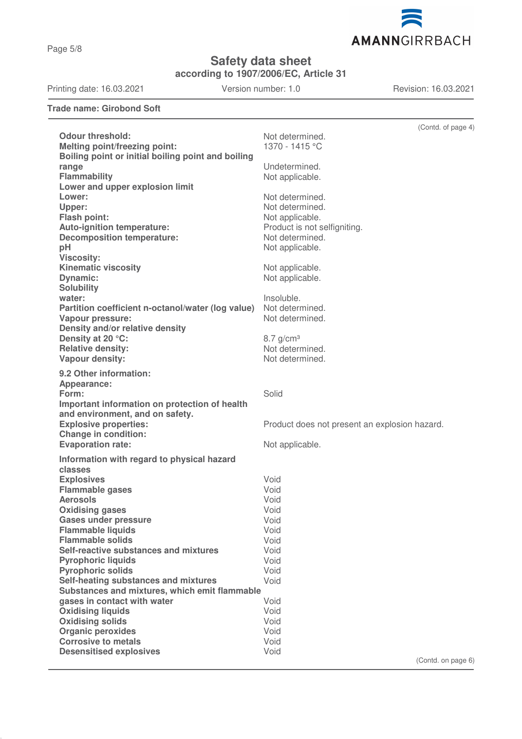AMANNGIRRBACH

**Safety data sheet**

**according to 1907/2006/EC, Article 31**

Printing date: 16.03.2021 Version number: 1.0 Revision: 16.03.2021

**Trade name: Girobond Soft**

|                                                    | (Contd. of page 4)                            |
|----------------------------------------------------|-----------------------------------------------|
| <b>Odour threshold:</b>                            | Not determined.                               |
| <b>Melting point/freezing point:</b>               | 1370 - 1415 °C                                |
| Boiling point or initial boiling point and boiling |                                               |
| range                                              | Undetermined.                                 |
| <b>Flammability</b>                                | Not applicable.                               |
| Lower and upper explosion limit                    |                                               |
| Lower:                                             | Not determined.                               |
| Upper:                                             | Not determined.                               |
| Flash point:                                       | Not applicable.                               |
| Auto-ignition temperature:                         | Product is not selfigniting.                  |
| <b>Decomposition temperature:</b>                  | Not determined.                               |
| pH                                                 | Not applicable.                               |
| <b>Viscosity:</b>                                  |                                               |
| <b>Kinematic viscosity</b>                         | Not applicable.                               |
| <b>Dynamic:</b>                                    | Not applicable.                               |
| <b>Solubility</b>                                  |                                               |
| water:                                             | Insoluble.                                    |
| Partition coefficient n-octanol/water (log value)  | Not determined.                               |
| Vapour pressure:                                   | Not determined.                               |
| Density and/or relative density                    |                                               |
| Density at 20 °C:                                  | $8.7$ g/cm <sup>3</sup>                       |
| <b>Relative density:</b>                           | Not determined.                               |
| Vapour density:                                    | Not determined.                               |
|                                                    |                                               |
| 9.2 Other information:                             |                                               |
| Appearance:                                        |                                               |
| Form:                                              | Solid                                         |
| Important information on protection of health      |                                               |
| and environment, and on safety.                    |                                               |
| <b>Explosive properties:</b>                       | Product does not present an explosion hazard. |
| <b>Change in condition:</b>                        |                                               |
| <b>Evaporation rate:</b>                           | Not applicable.                               |
| Information with regard to physical hazard         |                                               |
| classes                                            |                                               |
| <b>Explosives</b>                                  | Void                                          |
| <b>Flammable gases</b>                             | Void                                          |
| <b>Aerosols</b>                                    | Void                                          |
| <b>Oxidising gases</b>                             | Void                                          |
| <b>Gases under pressure</b>                        | Void                                          |
| <b>Flammable liquids</b>                           | Void                                          |
| <b>Flammable solids</b>                            | Void                                          |
| Self-reactive substances and mixtures              | Void                                          |
| <b>Pyrophoric liquids</b>                          | Void                                          |
| <b>Pyrophoric solids</b>                           | Void                                          |
| Self-heating substances and mixtures               | Void                                          |
| Substances and mixtures, which emit flammable      |                                               |
| gases in contact with water                        | Void                                          |
| <b>Oxidising liquids</b>                           | Void                                          |
| <b>Oxidising solids</b>                            | Void                                          |
| <b>Organic peroxides</b>                           | Void                                          |
| <b>Corrosive to metals</b>                         | Void                                          |
| <b>Desensitised explosives</b>                     | Void<br>$(Conted)$ on page $6$ )              |

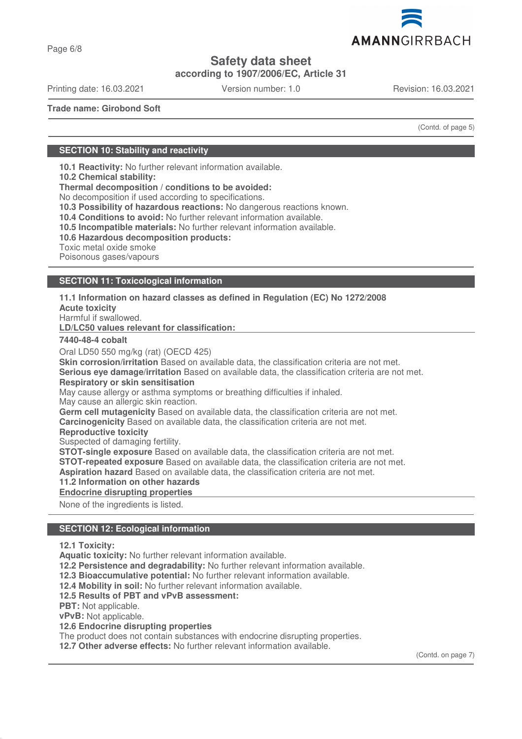

Page 6/8

# **Safety data sheet**

**according to 1907/2006/EC, Article 31**

Printing date: 16.03.2021 Version number: 1.0 Revision: 16.03.2021

**Trade name: Girobond Soft**

(Contd. of page 5)

## **SECTION 10: Stability and reactivity**

**10.1 Reactivity:** No further relevant information available.

**10.2 Chemical stability:**

**Thermal decomposition / conditions to be avoided:**

No decomposition if used according to specifications.

**10.3 Possibility of hazardous reactions:** No dangerous reactions known.

**10.4 Conditions to avoid:** No further relevant information available.

**10.5 Incompatible materials:** No further relevant information available.

**10.6 Hazardous decomposition products:**

Toxic metal oxide smoke

Poisonous gases/vapours

#### **SECTION 11: Toxicological information**

**11.1 Information on hazard classes as defined in Regulation (EC) No 1272/2008**

**Acute toxicity**

Harmful if swallowed.

**LD/LC50 values relevant for classification:** 

#### **7440-48-4 cobalt**

Oral LD50 550 mg/kg (rat) (OECD 425)

**Skin corrosion/irritation** Based on available data, the classification criteria are not met.

**Serious eye damage/irritation** Based on available data, the classification criteria are not met. **Respiratory or skin sensitisation**

May cause allergy or asthma symptoms or breathing difficulties if inhaled.

May cause an allergic skin reaction.

**Germ cell mutagenicity** Based on available data, the classification criteria are not met.

**Carcinogenicity** Based on available data, the classification criteria are not met.

**Reproductive toxicity**

Suspected of damaging fertility.

**STOT-single exposure** Based on available data, the classification criteria are not met.

**STOT-repeated exposure** Based on available data, the classification criteria are not met.

**Aspiration hazard** Based on available data, the classification criteria are not met.

#### **11.2 Information on other hazards**

**Endocrine disrupting properties** 

None of the ingredients is listed.

## **SECTION 12: Ecological information**

**12.1 Toxicity:**

**Aquatic toxicity:** No further relevant information available.

**12.2 Persistence and degradability:** No further relevant information available.

**12.3 Bioaccumulative potential:** No further relevant information available.

**12.4 Mobility in soil:** No further relevant information available.

**12.5 Results of PBT and vPvB assessment:**

**PBT:** Not applicable.

**vPvB:** Not applicable.

**12.6 Endocrine disrupting properties**

The product does not contain substances with endocrine disrupting properties.

**12.7 Other adverse effects:** No further relevant information available.

(Contd. on page 7)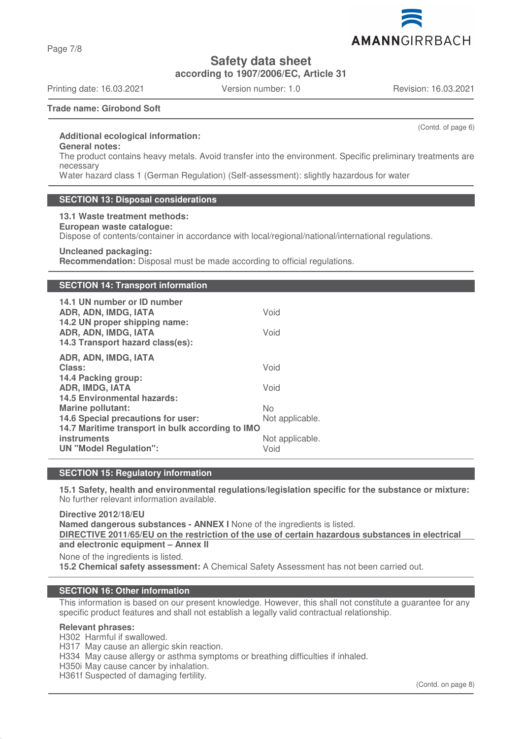Page 7/8

**Safety data sheet**

**according to 1907/2006/EC, Article 31**

Printing date: 16.03.2021 Version number: 1.0 Revision: 16.03.2021

(Contd. of page 6)

**Trade name: Girobond Soft**

## **Additional ecological information:**

**General notes:**

The product contains heavy metals. Avoid transfer into the environment. Specific preliminary treatments are necessary

Water hazard class 1 (German Regulation) (Self-assessment): slightly hazardous for water

## **SECTION 13: Disposal considerations**

**13.1 Waste treatment methods: European waste catalogue:** Dispose of contents/container in accordance with local/regional/national/international regulations. **Uncleaned packaging:**

**Recommendation:** Disposal must be made according to official regulations.

## **SECTION 14: Transport information**

| 14.1 UN number or ID number<br>ADR, ADN, IMDG, IATA<br>14.2 UN proper shipping name:<br>ADR, ADN, IMDG, IATA<br>14.3 Transport hazard class(es):                   | Void<br>Void                                     |
|--------------------------------------------------------------------------------------------------------------------------------------------------------------------|--------------------------------------------------|
| ADR, ADN, IMDG, IATA<br>Class:<br>14.4 Packing group:<br><b>ADR, IMDG, IATA</b><br><b>14.5 Environmental hazards:</b>                                              | Void<br>Void                                     |
| <b>Marine pollutant:</b><br>14.6 Special precautions for user:<br>14.7 Maritime transport in bulk according to IMO<br>instruments<br><b>UN "Model Regulation":</b> | No<br>Not applicable.<br>Not applicable.<br>Void |

## **SECTION 15: Regulatory information**

**15.1 Safety, health and environmental regulations/legislation specific for the substance or mixture:** No further relevant information available.

**Directive 2012/18/EU Named dangerous substances - ANNEX I** None of the ingredients is listed. **DIRECTIVE 2011/65/EU on the restriction of the use of certain hazardous substances in electrical and electronic equipment – Annex II** None of the ingredients is listed.

**15.2 Chemical safety assessment:** A Chemical Safety Assessment has not been carried out.

## **SECTION 16: Other information**

This information is based on our present knowledge. However, this shall not constitute a guarantee for any specific product features and shall not establish a legally valid contractual relationship.

#### **Relevant phrases:**

H302 Harmful if swallowed.

H317 May cause an allergic skin reaction.

H334 May cause allergy or asthma symptoms or breathing difficulties if inhaled.

H350i May cause cancer by inhalation.

H361f Suspected of damaging fertility.